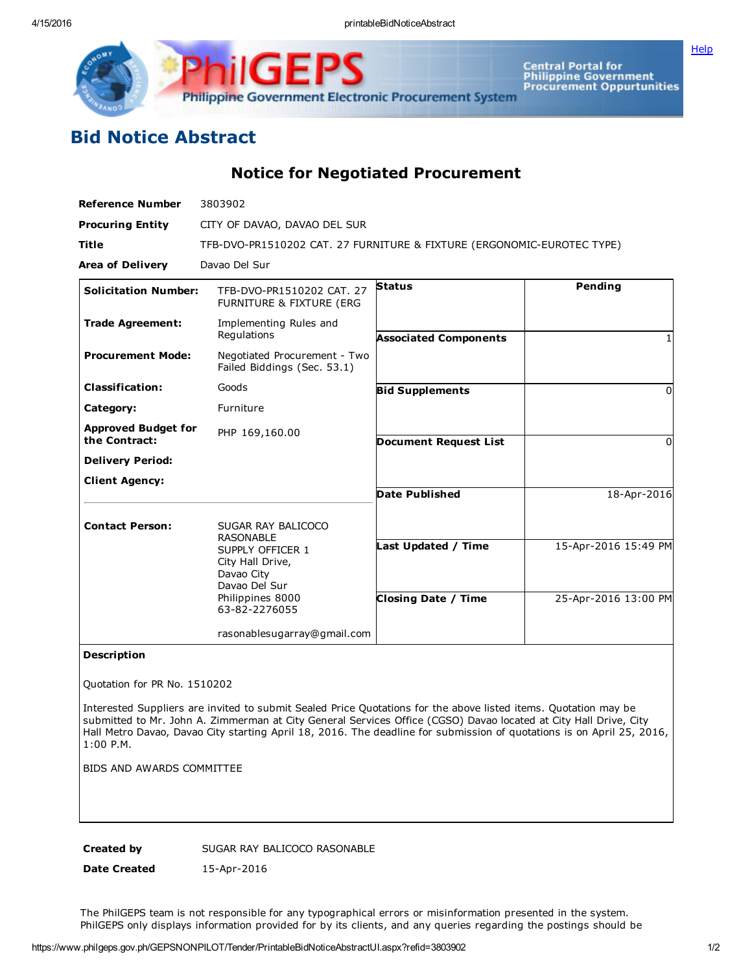4/15/2016 printableBidNoticeAbstract

**[Help](javascript:void(window.open()** 



Central Portal for<br>Philippine Government<br>Procurement Oppurtunities

## Bid Notice Abstract

Notice for Negotiated Procurement

| <b>Reference Number</b>                     | 3803902                                                                |                              |                      |
|---------------------------------------------|------------------------------------------------------------------------|------------------------------|----------------------|
| <b>Procuring Entity</b>                     | CITY OF DAVAO, DAVAO DEL SUR                                           |                              |                      |
| <b>Title</b>                                | TFB-DVO-PR1510202 CAT. 27 FURNITURE & FIXTURE (ERGONOMIC-EUROTEC TYPE) |                              |                      |
| <b>Area of Delivery</b>                     | Davao Del Sur                                                          |                              |                      |
| <b>Solicitation Number:</b>                 | TFB-DVO-PR1510202 CAT. 27<br>FURNITURE & FIXTURE (ERG                  | <b>Status</b>                | Pending              |
| <b>Trade Agreement:</b>                     | Implementing Rules and<br>Regulations                                  | <b>Associated Components</b> |                      |
| <b>Procurement Mode:</b>                    | Negotiated Procurement - Two<br>Failed Biddings (Sec. 53.1)            |                              |                      |
| <b>Classification:</b>                      | Goods                                                                  | <b>Bid Supplements</b>       | 0                    |
| Category:                                   | Furniture                                                              |                              |                      |
| <b>Approved Budget for</b><br>the Contract: | PHP 169,160.00                                                         | <b>Document Request List</b> | $\Omega$             |
| <b>Delivery Period:</b>                     |                                                                        |                              |                      |
| <b>Client Agency:</b>                       |                                                                        |                              |                      |
|                                             |                                                                        | <b>Date Published</b>        | 18-Apr-2016          |
| <b>Contact Person:</b>                      | SUGAR RAY BALICOCO<br><b>RASONABLE</b>                                 |                              |                      |
|                                             | SUPPLY OFFICER 1<br>City Hall Drive,<br>Davao City<br>Davao Del Sur    | Last Updated / Time          | 15-Apr-2016 15:49 PM |
|                                             | Philippines 8000<br>63-82-2276055                                      | <b>Closing Date / Time</b>   | 25-Apr-2016 13:00 PM |
|                                             | rasonablesugarray@gmail.com                                            |                              |                      |
|                                             |                                                                        |                              |                      |

## Description

Quotation for PR No. 1510202

Interested Suppliers are invited to submit Sealed Price Quotations for the above listed items. Quotation may be submitted to Mr. John A. Zimmerman at City General Services Office (CGSO) Davao located at City Hall Drive, City Hall Metro Davao, Davao City starting April 18, 2016. The deadline for submission of quotations is on April 25, 2016, 1:00 P.M.

BIDS AND AWARDS COMMITTEE

Created by SUGAR RAY BALICOCO RASONABLE

Date Created 15-Apr-2016

The PhilGEPS team is not responsible for any typographical errors or misinformation presented in the system. PhilGEPS only displays information provided for by its clients, and any queries regarding the postings should be